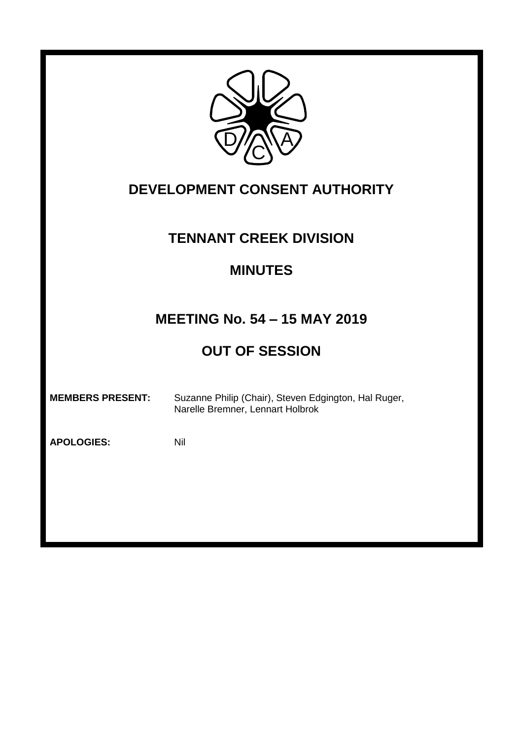

# **DEVELOPMENT CONSENT AUTHORITY**

### **TENNANT CREEK DIVISION**

### **MINUTES**

# **MEETING No. 54 – 15 MAY 2019**

# **OUT OF SESSION**

**MEMBERS PRESENT:** Suzanne Philip (Chair), Steven Edgington, Hal Ruger, Narelle Bremner, Lennart Holbrok

**APOLOGIES:** Nil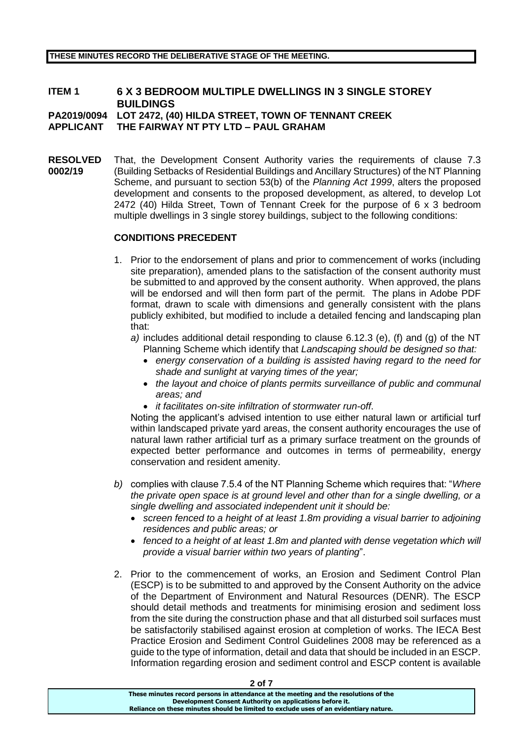**THESE MINUTES RECORD THE DELIBERATIVE STAGE OF THE MEETING.** 

### **ITEM 1 6 X 3 BEDROOM MULTIPLE DWELLINGS IN 3 SINGLE STOREY BUILDINGS**

**PA2019/0094 LOT 2472, (40) HILDA STREET, TOWN OF TENNANT CREEK**

**APPLICANT THE FAIRWAY NT PTY LTD – PAUL GRAHAM**

**RESOLVED 0002/19** That, the Development Consent Authority varies the requirements of clause 7.3 (Building Setbacks of Residential Buildings and Ancillary Structures) of the NT Planning Scheme, and pursuant to section 53(b) of the *Planning Act 1999*, alters the proposed development and consents to the proposed development, as altered, to develop Lot 2472 (40) Hilda Street, Town of Tennant Creek for the purpose of 6 x 3 bedroom multiple dwellings in 3 single storey buildings, subject to the following conditions:

#### **CONDITIONS PRECEDENT**

- 1. Prior to the endorsement of plans and prior to commencement of works (including site preparation), amended plans to the satisfaction of the consent authority must be submitted to and approved by the consent authority. When approved, the plans will be endorsed and will then form part of the permit. The plans in Adobe PDF format, drawn to scale with dimensions and generally consistent with the plans publicly exhibited, but modified to include a detailed fencing and landscaping plan that:
	- *a)* includes additional detail responding to clause 6.12.3 (e), (f) and (g) of the NT Planning Scheme which identify that *Landscaping should be designed so that:*
		- *energy conservation of a building is assisted having regard to the need for shade and sunlight at varying times of the year;*
		- *the layout and choice of plants permits surveillance of public and communal areas; and*
		- *it facilitates on-site infiltration of stormwater run-off*.

Noting the applicant's advised intention to use either natural lawn or artificial turf within landscaped private yard areas, the consent authority encourages the use of natural lawn rather artificial turf as a primary surface treatment on the grounds of expected better performance and outcomes in terms of permeability, energy conservation and resident amenity.

- *b)* complies with clause 7.5.4 of the NT Planning Scheme which requires that: "*Where the private open space is at ground level and other than for a single dwelling, or a single dwelling and associated independent unit it should be:*
	- *screen fenced to a height of at least 1.8m providing a visual barrier to adjoining residences and public areas; or*
	- fenced to a height of at least 1.8m and planted with dense vegetation which will *provide a visual barrier within two years of planting*".
- 2. Prior to the commencement of works, an Erosion and Sediment Control Plan (ESCP) is to be submitted to and approved by the Consent Authority on the advice of the Department of Environment and Natural Resources (DENR). The ESCP should detail methods and treatments for minimising erosion and sediment loss from the site during the construction phase and that all disturbed soil surfaces must be satisfactorily stabilised against erosion at completion of works. The IECA Best Practice Erosion and Sediment Control Guidelines 2008 may be referenced as a guide to the type of information, detail and data that should be included in an ESCP. Information regarding erosion and sediment control and ESCP content is available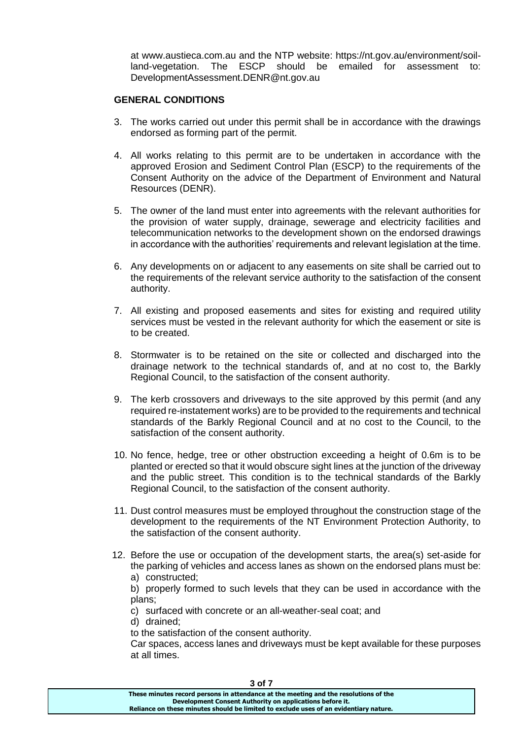at www.austieca.com.au and the NTP website: https://nt.gov.au/environment/soilland-vegetation. The ESCP should be emailed for assessment to: DevelopmentAssessment.DENR@nt.gov.au

#### **GENERAL CONDITIONS**

- 3. The works carried out under this permit shall be in accordance with the drawings endorsed as forming part of the permit.
- 4. All works relating to this permit are to be undertaken in accordance with the approved Erosion and Sediment Control Plan (ESCP) to the requirements of the Consent Authority on the advice of the Department of Environment and Natural Resources (DENR).
- 5. The owner of the land must enter into agreements with the relevant authorities for the provision of water supply, drainage, sewerage and electricity facilities and telecommunication networks to the development shown on the endorsed drawings in accordance with the authorities' requirements and relevant legislation at the time.
- 6. Any developments on or adjacent to any easements on site shall be carried out to the requirements of the relevant service authority to the satisfaction of the consent authority.
- 7. All existing and proposed easements and sites for existing and required utility services must be vested in the relevant authority for which the easement or site is to be created.
- 8. Stormwater is to be retained on the site or collected and discharged into the drainage network to the technical standards of, and at no cost to, the Barkly Regional Council, to the satisfaction of the consent authority.
- 9. The kerb crossovers and driveways to the site approved by this permit (and any required re-instatement works) are to be provided to the requirements and technical standards of the Barkly Regional Council and at no cost to the Council, to the satisfaction of the consent authority.
- 10. No fence, hedge, tree or other obstruction exceeding a height of 0.6m is to be planted or erected so that it would obscure sight lines at the junction of the driveway and the public street. This condition is to the technical standards of the Barkly Regional Council, to the satisfaction of the consent authority.
- 11. Dust control measures must be employed throughout the construction stage of the development to the requirements of the NT Environment Protection Authority, to the satisfaction of the consent authority.
- 12. Before the use or occupation of the development starts, the area(s) set-aside for the parking of vehicles and access lanes as shown on the endorsed plans must be:
	- a) constructed;

b) properly formed to such levels that they can be used in accordance with the plans;

c) surfaced with concrete or an all-weather-seal coat; and

d) drained;

to the satisfaction of the consent authority.

Car spaces, access lanes and driveways must be kept available for these purposes at all times.

| ו וט כ                                                                                |  |
|---------------------------------------------------------------------------------------|--|
| These minutes record persons in attendance at the meeting and the resolutions of the  |  |
| Development Consent Authority on applications before it.                              |  |
| Reliance on these minutes should be limited to exclude uses of an evidentiary nature. |  |
|                                                                                       |  |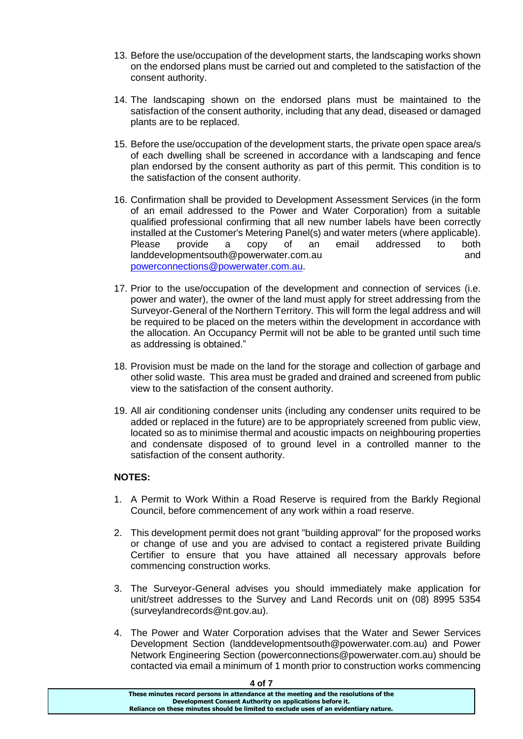- 13. Before the use/occupation of the development starts, the landscaping works shown on the endorsed plans must be carried out and completed to the satisfaction of the consent authority.
- 14. The landscaping shown on the endorsed plans must be maintained to the satisfaction of the consent authority, including that any dead, diseased or damaged plants are to be replaced.
- 15. Before the use/occupation of the development starts, the private open space area/s of each dwelling shall be screened in accordance with a landscaping and fence plan endorsed by the consent authority as part of this permit. This condition is to the satisfaction of the consent authority.
- 16. Confirmation shall be provided to Development Assessment Services (in the form of an email addressed to the Power and Water Corporation) from a suitable qualified professional confirming that all new number labels have been correctly installed at the Customer's Metering Panel(s) and water meters (where applicable). Please provide a copy of an email addressed to both landdevelopmentsouth@powerwater.com.au button and and and [powerconnections@powerwater.com.au.](mailto:powerconnections@powerwater.com.au)
- 17. Prior to the use/occupation of the development and connection of services (i.e. power and water), the owner of the land must apply for street addressing from the Surveyor-General of the Northern Territory. This will form the legal address and will be required to be placed on the meters within the development in accordance with the allocation. An Occupancy Permit will not be able to be granted until such time as addressing is obtained."
- 18. Provision must be made on the land for the storage and collection of garbage and other solid waste. This area must be graded and drained and screened from public view to the satisfaction of the consent authority.
- 19. All air conditioning condenser units (including any condenser units required to be added or replaced in the future) are to be appropriately screened from public view, located so as to minimise thermal and acoustic impacts on neighbouring properties and condensate disposed of to ground level in a controlled manner to the satisfaction of the consent authority.

#### **NOTES:**

- 1. A Permit to Work Within a Road Reserve is required from the Barkly Regional Council, before commencement of any work within a road reserve.
- 2. This development permit does not grant "building approval" for the proposed works or change of use and you are advised to contact a registered private Building Certifier to ensure that you have attained all necessary approvals before commencing construction works.
- 3. The Surveyor-General advises you should immediately make application for unit/street addresses to the Survey and Land Records unit on (08) 8995 5354 (surveylandrecords@nt.gov.au).
- 4. The Power and Water Corporation advises that the Water and Sewer Services Development Section (landdevelopmentsouth@powerwater.com.au) and Power Network Engineering Section (powerconnections@powerwater.com.au) should be contacted via email a minimum of 1 month prior to construction works commencing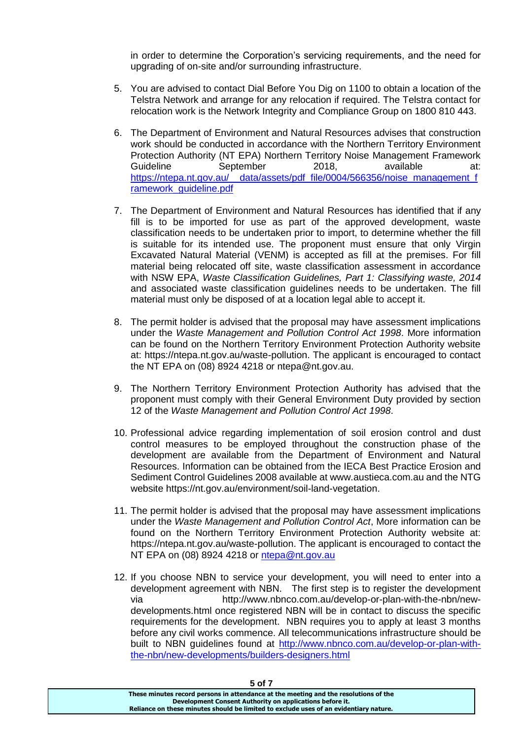in order to determine the Corporation's servicing requirements, and the need for upgrading of on-site and/or surrounding infrastructure.

- 5. You are advised to contact Dial Before You Dig on 1100 to obtain a location of the Telstra Network and arrange for any relocation if required. The Telstra contact for relocation work is the Network Integrity and Compliance Group on 1800 810 443.
- 6. The Department of Environment and Natural Resources advises that construction work should be conducted in accordance with the Northern Territory Environment Protection Authority (NT EPA) Northern Territory Noise Management Framework Guideline September 2018, available at: [https://ntepa.nt.gov.au/\\_\\_data/assets/pdf\\_file/0004/566356/noise\\_management\\_f](https://ntepa.nt.gov.au/__data/assets/pdf_file/0004/566356/noise_management_framework_guideline.pdf) ramework\_quideline.pdf
- 7. The Department of Environment and Natural Resources has identified that if any fill is to be imported for use as part of the approved development, waste classification needs to be undertaken prior to import, to determine whether the fill is suitable for its intended use. The proponent must ensure that only Virgin Excavated Natural Material (VENM) is accepted as fill at the premises. For fill material being relocated off site, waste classification assessment in accordance with NSW EPA, *Waste Classification Guidelines, Part 1: Classifying waste, 2014*  and associated waste classification guidelines needs to be undertaken. The fill material must only be disposed of at a location legal able to accept it.
- 8. The permit holder is advised that the proposal may have assessment implications under the *Waste Management and Pollution Control Act 1998*. More information can be found on the Northern Territory Environment Protection Authority website at: https://ntepa.nt.gov.au/waste-pollution. The applicant is encouraged to contact the NT EPA on (08) 8924 4218 or ntepa@nt.gov.au.
- 9. The Northern Territory Environment Protection Authority has advised that the proponent must comply with their General Environment Duty provided by section 12 of the *Waste Management and Pollution Control Act 1998*.
- 10. Professional advice regarding implementation of soil erosion control and dust control measures to be employed throughout the construction phase of the development are available from the Department of Environment and Natural Resources. Information can be obtained from the IECA Best Practice Erosion and Sediment Control Guidelines 2008 available at www.austieca.com.au and the NTG website https://nt.gov.au/environment/soil-land-vegetation.
- 11. The permit holder is advised that the proposal may have assessment implications under the *Waste Management and Pollution Control Act*, More information can be found on the Northern Territory Environment Protection Authority website at: https://ntepa.nt.gov.au/waste-pollution. The applicant is encouraged to contact the NT EPA on (08) 8924 4218 or [ntepa@nt.gov.au](mailto:ntepa@nt.gov.au)
- 12. If you choose NBN to service your development, you will need to enter into a development agreement with NBN. The first step is to register the development via http://www.nbnco.com.au/develop-or-plan-with-the-nbn/newdevelopments.html once registered NBN will be in contact to discuss the specific requirements for the development. NBN requires you to apply at least 3 months before any civil works commence. All telecommunications infrastructure should be built to NBN guidelines found at [http://www.nbnco.com.au/develop-or-plan-with](http://www.nbnco.com.au/develop-or-plan-with-the-nbn/new-developments/builders-designers.html)[the-nbn/new-developments/builders-designers.html](http://www.nbnco.com.au/develop-or-plan-with-the-nbn/new-developments/builders-designers.html)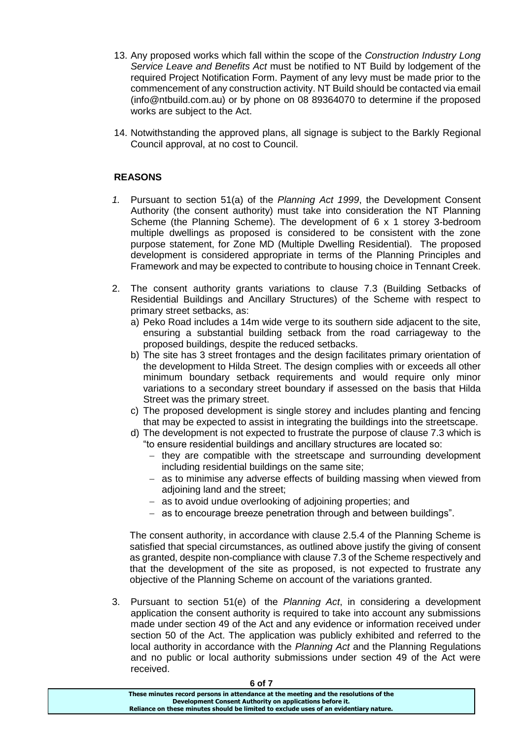- 13. Any proposed works which fall within the scope of the *Construction Industry Long Service Leave and Benefits Act* must be notified to NT Build by lodgement of the required Project Notification Form. Payment of any levy must be made prior to the commencement of any construction activity. NT Build should be contacted via email (info@ntbuild.com.au) or by phone on 08 89364070 to determine if the proposed works are subject to the Act.
- 14. Notwithstanding the approved plans, all signage is subject to the Barkly Regional Council approval, at no cost to Council.

#### **REASONS**

- *1.* Pursuant to section 51(a) of the *Planning Act 1999*, the Development Consent Authority (the consent authority) must take into consideration the NT Planning Scheme (the Planning Scheme). The development of 6 x 1 storey 3-bedroom multiple dwellings as proposed is considered to be consistent with the zone purpose statement, for Zone MD (Multiple Dwelling Residential). The proposed development is considered appropriate in terms of the Planning Principles and Framework and may be expected to contribute to housing choice in Tennant Creek.
- 2. The consent authority grants variations to clause 7.3 (Building Setbacks of Residential Buildings and Ancillary Structures) of the Scheme with respect to primary street setbacks, as:
	- a) Peko Road includes a 14m wide verge to its southern side adjacent to the site, ensuring a substantial building setback from the road carriageway to the proposed buildings, despite the reduced setbacks.
	- b) The site has 3 street frontages and the design facilitates primary orientation of the development to Hilda Street. The design complies with or exceeds all other minimum boundary setback requirements and would require only minor variations to a secondary street boundary if assessed on the basis that Hilda Street was the primary street.
	- c) The proposed development is single storey and includes planting and fencing that may be expected to assist in integrating the buildings into the streetscape.
	- d) The development is not expected to frustrate the purpose of clause 7.3 which is "to ensure residential buildings and ancillary structures are located so:
		- $-$  they are compatible with the streetscape and surrounding development including residential buildings on the same site;
		- as to minimise any adverse effects of building massing when viewed from adioining land and the street:
		- as to avoid undue overlooking of adjoining properties; and
		- as to encourage breeze penetration through and between buildings".

The consent authority, in accordance with clause 2.5.4 of the Planning Scheme is satisfied that special circumstances, as outlined above justify the giving of consent as granted, despite non-compliance with clause 7.3 of the Scheme respectively and that the development of the site as proposed, is not expected to frustrate any objective of the Planning Scheme on account of the variations granted.

3. Pursuant to section 51(e) of the *Planning Act*, in considering a development application the consent authority is required to take into account any submissions made under section 49 of the Act and any evidence or information received under section 50 of the Act. The application was publicly exhibited and referred to the local authority in accordance with the *Planning Act* and the Planning Regulations and no public or local authority submissions under section 49 of the Act were received.